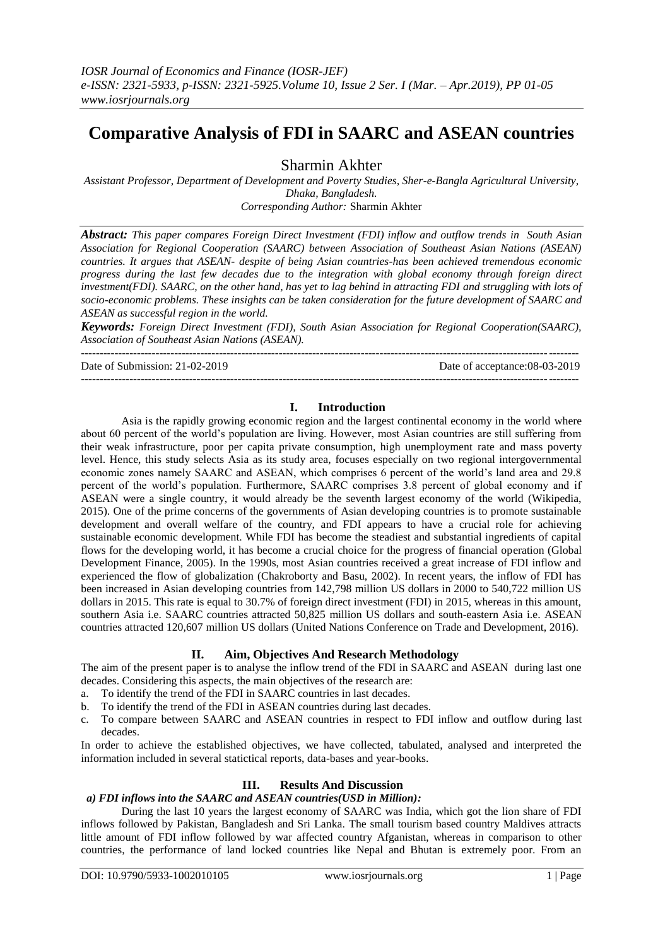# **Comparative Analysis of FDI in SAARC and ASEAN countries**

Sharmin Akhter

*Assistant Professor, Department of Development and Poverty Studies, Sher-e-Bangla Agricultural University, Dhaka, Bangladesh. Corresponding Author:* Sharmin Akhter

*Abstract: This paper compares Foreign Direct Investment (FDI) inflow and outflow trends in South Asian Association for Regional Cooperation (SAARC) between Association of Southeast Asian Nations (ASEAN) countries. It argues that ASEAN- despite of being Asian countries-has been achieved tremendous economic progress during the last few decades due to the integration with global economy through foreign direct investment(FDI). SAARC, on the other hand, has yet to lag behind in attracting FDI and struggling with lots of socio-economic problems. These insights can be taken consideration for the future development of SAARC and ASEAN as successful region in the world.*

*Keywords: Foreign Direct Investment (FDI), South Asian Association for Regional Cooperation(SAARC), Association of Southeast Asian Nations (ASEAN).* -------------------------------------------------------------------------------------------------------------------------------------

-------------------------------------------------------------------------------------------------------------------------------------

Date of Submission: 21-02-2019 Date of acceptance:08-03-2019

# **I. Introduction**

Asia is the rapidly growing economic region and the largest continental economy in the world where about 60 percent of the world"s population are living. However, most Asian countries are still suffering from their weak infrastructure, poor per capita private consumption, high unemployment rate and mass poverty level. Hence, this study selects Asia as its study area, focuses especially on two regional intergovernmental economic zones namely SAARC and ASEAN, which comprises 6 percent of the world"s land area and 29.8 percent of the world"s population. Furthermore, SAARC comprises 3.8 percent of global economy and if ASEAN were a single country, it would already be the seventh largest economy of the world (Wikipedia, 2015). One of the prime concerns of the governments of Asian developing countries is to promote sustainable development and overall welfare of the country, and FDI appears to have a crucial role for achieving sustainable economic development. While FDI has become the steadiest and substantial ingredients of capital flows for the developing world, it has become a crucial choice for the progress of financial operation (Global Development Finance, 2005). In the 1990s, most Asian countries received a great increase of FDI inflow and experienced the flow of globalization (Chakroborty and Basu, 2002). In recent years, the inflow of FDI has been increased in Asian developing countries from 142,798 million US dollars in 2000 to 540,722 million US dollars in 2015. This rate is equal to 30.7% of foreign direct investment (FDI) in 2015, whereas in this amount, southern Asia i.e. SAARC countries attracted 50,825 million US dollars and south-eastern Asia i.e. ASEAN countries attracted 120,607 million US dollars (United Nations Conference on Trade and Development, 2016).

#### **II. Aim, Objectives And Research Methodology**

The aim of the present paper is to analyse the inflow trend of the FDI in SAARC and ASEAN during last one decades. Considering this aspects, the main objectives of the research are:

- a. To identify the trend of the FDI in SAARC countries in last decades.
- b. To identify the trend of the FDI in ASEAN countries during last decades.
- c. To compare between SAARC and ASEAN countries in respect to FDI inflow and outflow during last decades.

In order to achieve the established objectives, we have collected, tabulated, analysed and interpreted the information included in several statictical reports, data-bases and year-books.

## **III. Results And Discussion**

### *a) FDI inflows into the SAARC and ASEAN countries(USD in Million):*

During the last 10 years the largest economy of SAARC was India, which got the lion share of FDI inflows followed by Pakistan, Bangladesh and Sri Lanka. The small tourism based country Maldives attracts little amount of FDI inflow followed by war affected country Afganistan, whereas in comparison to other countries, the performance of land locked countries like Nepal and Bhutan is extremely poor. From an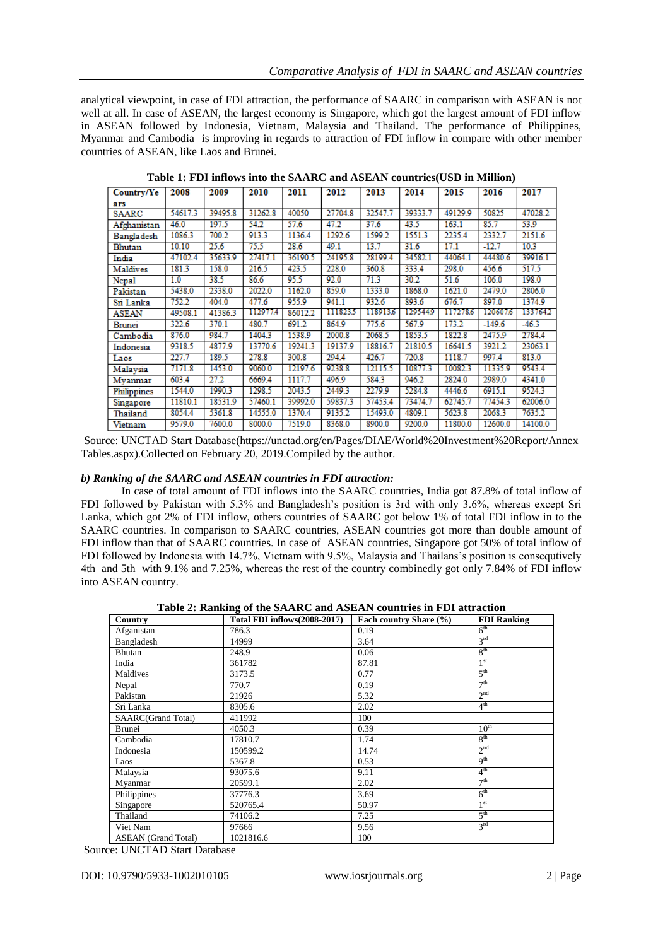analytical viewpoint, in case of FDI attraction, the performance of SAARC in comparison with ASEAN is not well at all. In case of ASEAN, the largest economy is Singapore, which got the largest amount of FDI inflow in ASEAN followed by Indonesia, Vietnam, Malaysia and Thailand. The performance of Philippines, Myanmar and Cambodia is improving in regards to attraction of FDI inflow in compare with other member countries of ASEAN, like Laos and Brunei.

| Country/Ye    | 2008    | 2009    | 2010     | 2011    | 2012    | 2013     | 2014     | 2015     | 2016     | 2017     |
|---------------|---------|---------|----------|---------|---------|----------|----------|----------|----------|----------|
| ars           |         |         |          |         |         |          |          |          |          |          |
| <b>SAARC</b>  | 54617.3 | 39495.8 | 31262.8  | 40050   | 27704.8 | 32547.7  | 39333.7  | 49129.9  | 50825    | 47028.2  |
| Afghanistan   | 46.0    | 197.5   | 54.2     | 57.6    | 47.2    | 37.6     | 43.5     | 163.1    | 85.7     | 53.9     |
| Bangladesh    | 1086.3  | 700.2   | 913.3    | 1136.4  | 1292.6  | 1599.2   | 1551.3   | 2235.4   | 2332.7   | 2151.6   |
| <b>Bhutan</b> | 10.10   | 25.6    | 75.5     | 28.6    | 49.1    | 13.7     | 31.6     | 17.1     | $-12.7$  | 10.3     |
| India         | 47102.4 | 35633.9 | 27417.1  | 36190.5 | 24195.8 | 28199.4  | 34582.1  | 44064.1  | 44480.6  | 39916.1  |
| Maldives      | 181.3   | 158.0   | 216.5    | 423.5   | 228.0   | 360.8    | 333.4    | 298.0    | 456.6    | 517.5    |
| Nepal         | 1.0     | 38.5    | 86.6     | 95.5    | 92.0    | 71.3     | 30.2     | 51.6     | 106.0    | 198.0    |
| Pakistan      | 5438.0  | 2338.0  | 2022.0   | 1162.0  | 859.0   | 1333.0   | 1868.0   | 1621.0   | 2479.0   | 2806.0   |
| Sri Lanka     | 752.2   | 404.0   | 477.6    | 955.9   | 941.1   | 932.6    | 893.6    | 676.7    | 897.0    | 1374.9   |
| ASEAN         | 49508.1 | 41386.3 | 112977.4 | 86012.2 | 1118235 | 118913.6 | 129544.9 | 117278.6 | 120607.6 | 133764.2 |
| Brunei        | 322.6   | 370.1   | 480.7    | 691.2   | 864.9   | 775.6    | 567.9    | 173.2    | $-149.6$ | $-46.3$  |
| Cambodia      | 876.0   | 984.7   | 1404.3   | 1538.9  | 2000.8  | 2068.5   | 1853.5   | 1822.8   | 2475.9   | 2784.4   |
| Indonesia     | 9318.5  | 4877.9  | 13770.6  | 19241.3 | 19137.9 | 18816.7  | 21810.5  | 16641.5  | 3921.2   | 23063.1  |
| Laos          | 227.7   | 189.5   | 278.8    | 300.8   | 294.4   | 426.7    | 720.8    | 1118.7   | 997.4    | 813.0    |
| Malaysia      | 7171.8  | 1453.0  | 9060.0   | 12197.6 | 9238.8  | 12115.5  | 10877.3  | 10082.3  | 11335.9  | 9543.4   |
| Myanmar       | 603.4   | 27.2    | 6669.4   | 1117.7  | 496.9   | 584.3    | 946.2    | 2824.0   | 2989.0   | 4341.0   |
| Philippines   | 1544.0  | 1990.3  | 1298.5   | 2043.5  | 2449.3  | 2279.9   | 5284.8   | 4446.6   | 6915.1   | 9524.3   |
| Singapore     | 11810.1 | 18531.9 | 57460.1  | 39992.0 | 59837.3 | 57453.4  | 73474.7  | 62745.7  | 77454.3  | 62006.0  |
| Thailand      | 8054.4  | 5361.8  | 14555.0  | 1370.4  | 9135.2  | 15493.0  | 4809.1   | 5623.8   | 2068.3   | 7635.2   |
| Vietnam       | 9579.0  | 7600.0  | 8000.0   | 7519.0  | 8368.0  | 8900.0   | 9200.0   | 11800.0  | 12600.0  | 14100.0  |

**Table 1: FDI inflows into the SAARC and ASEAN countries(USD in Million)**

Source: UNCTAD Start Database(https://unctad.org/en/Pages/DIAE/World%20Investment%20Report/Annex Tables.aspx).Collected on February 20, 2019.Compiled by the author.

### *b) Ranking of the SAARC and ASEAN countries in FDI attraction:*

In case of total amount of FDI inflows into the SAARC countries, India got 87.8% of total inflow of FDI followed by Pakistan with 5.3% and Bangladesh"s position is 3rd with only 3.6%, whereas except Sri Lanka, which got 2% of FDI inflow, others countries of SAARC got below 1% of total FDI inflow in to the SAARC countries. In comparison to SAARC countries, ASEAN countries got more than double amount of FDI inflow than that of SAARC countries. In case of ASEAN countries, Singapore got 50% of total inflow of FDI followed by Indonesia with 14.7%, Vietnam with 9.5%, Malaysia and Thailans's position is consequtively 4th and 5th with 9.1% and 7.25%, whereas the rest of the country combinedly got only 7.84% of FDI inflow into ASEAN country.

|                            | Table 2. Rainling of the britistic and ribertist countries in FBI attraction |                        |                    |
|----------------------------|------------------------------------------------------------------------------|------------------------|--------------------|
| Country                    | Total FDI inflows (2008-2017)                                                | Each country Share (%) | <b>FDI Ranking</b> |
| Afganistan                 | 786.3                                                                        | 0.19                   | 6 <sup>th</sup>    |
| Bangladesh                 | 14999                                                                        | 3.64                   | 3 <sup>rd</sup>    |
| Bhutan                     | 248.9                                                                        | 0.06                   | 8 <sup>th</sup>    |
| India                      | 361782                                                                       | 87.81                  | 1 <sup>st</sup>    |
| Maldives                   | 3173.5                                                                       | 0.77                   | 5 <sup>th</sup>    |
| Nepal                      | 770.7                                                                        | 0.19                   | 7 <sup>th</sup>    |
| Pakistan                   | 21926                                                                        | 5.32                   | 2 <sup>nd</sup>    |
| Sri Lanka                  | 8305.6                                                                       | 2.02                   | 4 <sup>th</sup>    |
| <b>SAARC</b> (Grand Total) | 411992                                                                       | 100                    |                    |
| <b>Brunei</b>              | 4050.3                                                                       | 0.39                   | 10 <sup>th</sup>   |
| Cambodia                   | 17810.7                                                                      | 1.74                   | 8 <sup>th</sup>    |
| Indonesia                  | 150599.2                                                                     | 14.74                  | 2 <sup>nd</sup>    |
| Laos                       | 5367.8                                                                       | 0.53                   | q <sup>th</sup>    |
| Malaysia                   | 93075.6                                                                      | 9.11                   | 4 <sup>th</sup>    |
| Myanmar                    | 20599.1                                                                      | 2.02                   | 7 <sup>th</sup>    |
| Philippines                | 37776.3                                                                      | 3.69                   | 6 <sup>th</sup>    |
| Singapore                  | 520765.4                                                                     | 50.97                  | 1 <sup>st</sup>    |
| Thailand                   | 74106.2                                                                      | 7.25                   | 5 <sup>th</sup>    |
| Viet Nam                   | 97666                                                                        | 9.56                   | $3^{\text{rd}}$    |
| <b>ASEAN</b> (Grand Total) | 1021816.6                                                                    | 100                    |                    |

**Table 2: Ranking of the SAARC and ASEAN countries in FDI attraction**

Source: UNCTAD Start Database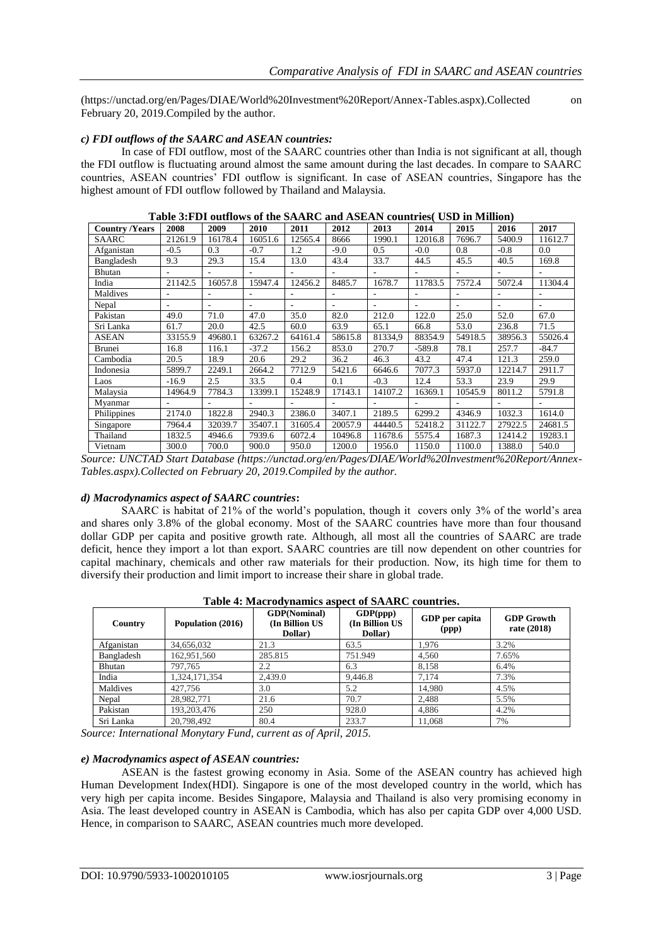(https://unctad.org/en/Pages/DIAE/World%20Investment%20Report/Annex-Tables.aspx).Collected on February 20, 2019.Compiled by the author.

### *c) FDI outflows of the SAARC and ASEAN countries:*

In case of FDI outflow, most of the SAARC countries other than India is not significant at all, though the FDI outflow is fluctuating around almost the same amount during the last decades. In compare to SAARC countries, ASEAN countries" FDI outflow is significant. In case of ASEAN countries, Singapore has the highest amount of FDI outflow followed by Thailand and Malaysia.

|                       | Tubic our Dr Guthows of the Stringer and Holling countries (COD in Minimum |                |         |         |         |                          |          |                |         |                          |
|-----------------------|----------------------------------------------------------------------------|----------------|---------|---------|---------|--------------------------|----------|----------------|---------|--------------------------|
| <b>Country /Years</b> | 2008                                                                       | 2009           | 2010    | 2011    | 2012    | 2013                     | 2014     | 2015           | 2016    | 2017                     |
| SAARC                 | 21261.9                                                                    | 16178.4        | 16051.6 | 12565.4 | 8666    | 1990.1                   | 12016.8  | 7696.7         | 5400.9  | 11612.7                  |
| Afganistan            | $-0.5$                                                                     | 0.3            | $-0.7$  | 1.2     | $-9.0$  | 0.5                      | $-0.0$   | 0.8            | $-0.8$  | 0.0                      |
| Bangladesh            | 9.3                                                                        | 29.3           | 15.4    | 13.0    | 43.4    | 33.7                     | 44.5     | 45.5           | 40.5    | 169.8                    |
| Bhutan                |                                                                            |                |         | -       |         |                          |          | $\overline{a}$ |         |                          |
| India                 | 21142.5                                                                    | 16057.8        | 15947.4 | 12456.2 | 8485.7  | 1678.7                   | 11783.5  | 7572.4         | 5072.4  | 11304.4                  |
| Maldives              | ۰                                                                          | $\overline{a}$ | $\sim$  | -       | ٠       | $\overline{\phantom{a}}$ | ٠        | $\overline{a}$ | ÷       | $\overline{\phantom{a}}$ |
| Nepal                 |                                                                            |                |         |         |         |                          |          | $\overline{a}$ | ٠       | ٠                        |
| Pakistan              | 49.0                                                                       | 71.0           | 47.0    | 35.0    | 82.0    | 212.0                    | 122.0    | 25.0           | 52.0    | 67.0                     |
| Sri Lanka             | 61.7                                                                       | 20.0           | 42.5    | 60.0    | 63.9    | 65.1                     | 66.8     | 53.0           | 236.8   | 71.5                     |
| <b>ASEAN</b>          | 33155.9                                                                    | 49680.1        | 63267.2 | 64161.4 | 58615.8 | 81334.9                  | 88354.9  | 54918.5        | 38956.3 | 55026.4                  |
| Brunei                | 16.8                                                                       | 116.1          | $-37.2$ | 156.2   | 853.0   | 270.7                    | $-589.8$ | 78.1           | 257.7   | $-84.7$                  |
| Cambodia              | 20.5                                                                       | 18.9           | 20.6    | 29.2    | 36.2    | 46.3                     | 43.2     | 47.4           | 121.3   | 259.0                    |
| Indonesia             | 5899.7                                                                     | 2249.1         | 2664.2  | 7712.9  | 5421.6  | 6646.6                   | 7077.3   | 5937.0         | 12214.7 | 2911.7                   |
| Laos                  | $-16.9$                                                                    | 2.5            | 33.5    | 0.4     | 0.1     | $-0.3$                   | 12.4     | 53.3           | 23.9    | 29.9                     |
| Malaysia              | 14964.9                                                                    | 7784.3         | 13399.1 | 15248.9 | 17143.1 | 14107.2                  | 16369.1  | 10545.9        | 8011.2  | 5791.8                   |
| Myanmar               | ۰                                                                          |                |         | -       | ٠       |                          |          | ٠              | -       | $\overline{\phantom{a}}$ |
| Philippines           | 2174.0                                                                     | 1822.8         | 2940.3  | 2386.0  | 3407.1  | 2189.5                   | 6299.2   | 4346.9         | 1032.3  | 1614.0                   |
| Singapore             | 7964.4                                                                     | 32039.7        | 35407.1 | 31605.4 | 20057.9 | 44440.5                  | 52418.2  | 31122.7        | 27922.5 | 24681.5                  |
| Thailand              | 1832.5                                                                     | 4946.6         | 7939.6  | 6072.4  | 10496.8 | 11678.6                  | 5575.4   | 1687.3         | 12414.2 | 19283.1                  |
| Vietnam               | 300.0                                                                      | 700.0          | 900.0   | 950.0   | 1200.0  | 1956.0                   | 1150.0   | 1100.0         | 1388.0  | 540.0                    |

*Source: UNCTAD Start Database (https://unctad.org/en/Pages/DIAE/World%20Investment%20Report/Annex-Tables.aspx).Collected on February 20, 2019.Compiled by the author.*

#### *d) Macrodynamics aspect of SAARC countries***:**

SAARC is habitat of 21% of the world"s population, though it covers only 3% of the world"s area and shares only 3.8% of the global economy. Most of the SAARC countries have more than four thousand dollar GDP per capita and positive growth rate. Although, all most all the countries of SAARC are trade deficit, hence they import a lot than export. SAARC countries are till now dependent on other countries for capital machinary, chemicals and other raw materials for their production. Now, its high time for them to diversify their production and limit import to increase their share in global trade.

|            | Tuble is hault our manned addeed of Dimane countries. |                                                  |                                        |                         |                                  |  |  |  |  |
|------------|-------------------------------------------------------|--------------------------------------------------|----------------------------------------|-------------------------|----------------------------------|--|--|--|--|
| Country    | Population (2016)                                     | <b>GDP(Nominal)</b><br>(In Billion US<br>Dollar) | GDP(ppp)<br>(In Billion US)<br>Dollar) | GDP per capita<br>(ppp) | <b>GDP Growth</b><br>rate (2018) |  |  |  |  |
| Afganistan | 34,656,032                                            | 21.3                                             | 63.5                                   | 1.976                   | 3.2%                             |  |  |  |  |
| Bangladesh | 162,951,560                                           | 285.815                                          | 751.949                                | 4.560                   | 7.65%                            |  |  |  |  |
| Bhutan     | 797,765                                               | 2.2                                              | 6.3                                    | 8.158                   | 6.4%                             |  |  |  |  |
| India      | 1.324.171.354                                         | 2.439.0                                          | 9,446.8                                | 7.174                   | 7.3%                             |  |  |  |  |
| Maldives   | 427,756                                               | 3.0                                              | 5.2                                    | 14.980                  | 4.5%                             |  |  |  |  |
| Nepal      | 28,982,771                                            | 21.6                                             | 70.7                                   | 2.488                   | 5.5%                             |  |  |  |  |
| Pakistan   | 193,203,476                                           | 250                                              | 928.0                                  | 4.886                   | 4.2%                             |  |  |  |  |
| Sri Lanka  | 20,798,492                                            | 80.4                                             | 233.7                                  | 11.068                  | 7%                               |  |  |  |  |

**Table 4: Macrodynamics aspect of SAARC countries.**

*Source: International Monytary Fund, current as of April, 2015.*

#### *e) Macrodynamics aspect of ASEAN countries:*

ASEAN is the fastest growing economy in Asia. Some of the ASEAN country has achieved high Human Development Index(HDI). Singapore is one of the most developed country in the world, which has very high per capita income. Besides Singapore, Malaysia and Thailand is also very promising economy in Asia. The least developed country in ASEAN is Cambodia, which has also per capita GDP over 4,000 USD. Hence, in comparison to SAARC, ASEAN countries much more developed.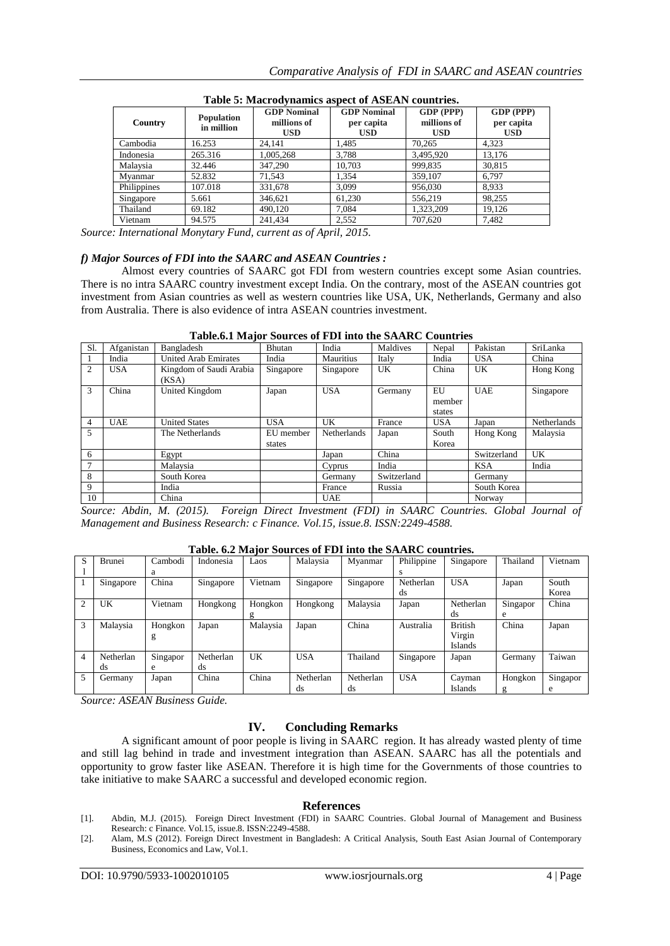| Country     | <b>Population</b><br>in million | <b>GDP</b> Nominal<br>millions of<br><b>USD</b> | <b>GDP</b> Nominal<br>per capita<br>USD. | GDP (PPP)<br>millions of<br><b>USD</b> | GDP (PPP)<br>per capita<br><b>USD</b> |  |  |  |  |  |
|-------------|---------------------------------|-------------------------------------------------|------------------------------------------|----------------------------------------|---------------------------------------|--|--|--|--|--|
| Cambodia    | 16.253                          | 24.141                                          | 1,485                                    | 70.265                                 | 4,323                                 |  |  |  |  |  |
| Indonesia   | 265.316                         | 1,005,268                                       | 3,788                                    | 3,495,920                              | 13.176                                |  |  |  |  |  |
| Malaysia    | 32.446                          | 347,290                                         | 10,703                                   | 999,835                                | 30,815                                |  |  |  |  |  |
| Myanmar     | 52.832                          | 71.543                                          | 1.354                                    | 359,107                                | 6,797                                 |  |  |  |  |  |
| Philippines | 107.018                         | 331,678                                         | 3.099                                    | 956,030                                | 8,933                                 |  |  |  |  |  |
| Singapore   | 5.661                           | 346,621                                         | 61.230                                   | 556.219                                | 98.255                                |  |  |  |  |  |
| Thailand    | 69.182                          | 490.120                                         | 7.084                                    | 1.323.209                              | 19.126                                |  |  |  |  |  |
| Vietnam     | 94.575                          | 241.434                                         | 2,552                                    | 707.620                                | 7.482                                 |  |  |  |  |  |

**Table 5: Macrodynamics aspect of ASEAN countries.**

*Source: International Monytary Fund, current as of April, 2015.*

#### *f) Major Sources of FDI into the SAARC and ASEAN Countries :*

Almost every countries of SAARC got FDI from western countries except some Asian countries. There is no intra SAARC country investment except India. On the contrary, most of the ASEAN countries got investment from Asian countries as well as western countries like USA, UK, Netherlands, Germany and also from Australia. There is also evidence of intra ASEAN countries investment.

| S1. | Afganistan | Bangladesh                  | Bhutan     | India              | Maldives    | Nepal      | Pakistan    | SriLanka    |
|-----|------------|-----------------------------|------------|--------------------|-------------|------------|-------------|-------------|
|     |            |                             |            |                    |             |            |             |             |
|     | India      | <b>United Arab Emirates</b> | India      | <b>Mauritius</b>   | Italy       | India      | <b>USA</b>  | China       |
| 2   | <b>USA</b> | Kingdom of Saudi Arabia     | Singapore  | Singapore          | UK          | China      | UK          | Hong Kong   |
|     |            | (KSA)                       |            |                    |             |            |             |             |
| 3   | China      | United Kingdom              | Japan      | <b>USA</b>         | Germany     | EU         | <b>UAE</b>  | Singapore   |
|     |            |                             |            |                    |             | member     |             |             |
|     |            |                             |            |                    |             | states     |             |             |
|     |            |                             |            |                    |             |            |             |             |
| 4   | <b>UAE</b> | <b>United States</b>        | <b>USA</b> | UK                 | France      | <b>USA</b> | Japan       | Netherlands |
| 5   |            | The Netherlands             | EU member  | <b>Netherlands</b> | Japan       | South      | Hong Kong   | Malaysia    |
|     |            |                             | states     |                    |             | Korea      |             |             |
| 6   |            | Egypt                       |            | Japan              | China       |            | Switzerland | UK          |
|     |            | Malaysia                    |            | Cyprus             | India       |            | <b>KSA</b>  | India       |
| 8   |            | South Korea                 |            | Germany            | Switzerland |            | Germany     |             |
| 9   |            | India                       |            | France             | Russia      |            | South Korea |             |
| 10  |            | China                       |            | <b>UAE</b>         |             |            | Norway      |             |

**Table.6.1 Major Sources of FDI into the SAARC Countries**

Source: Abdin, M. (2015). Foreign Direct Investment (FDI) in SAARC Countries. Global Journal of *Management and Business Research: c Finance. Vol.15, issue.8. ISSN:2249-4588.*

| Table. 6.2 Major Sources of FDI into the SAARC countries. |  |  |
|-----------------------------------------------------------|--|--|
|                                                           |  |  |

| S              | Brunei    | Cambodi  | Indonesia | Laos     | Malaysia   | Myanmar   | Philippine | Singapore      | Thailand | Vietnam  |
|----------------|-----------|----------|-----------|----------|------------|-----------|------------|----------------|----------|----------|
|                |           | a        |           |          |            |           | s          |                |          |          |
|                | Singapore | China    | Singapore | Vietnam  | Singapore  | Singapore | Netherlan  | <b>USA</b>     | Japan    | South    |
|                |           |          |           |          |            |           | ds         |                |          | Korea    |
| $\mathfrak{D}$ | UK        | Vietnam  | Hongkong  | Hongkon  | Hongkong   | Malaysia  | Japan      | Netherlan      | Singapor | China    |
|                |           |          |           |          |            |           |            | ds             | e        |          |
| 3              | Malaysia  | Hongkon  | Japan     | Malaysia | Japan      | China     | Australia  | <b>British</b> | China    | Japan    |
|                |           | g        |           |          |            |           |            | Virgin         |          |          |
|                |           |          |           |          |            |           |            | Islands        |          |          |
| $\overline{4}$ | Netherlan | Singapor | Netherlan | UK       | <b>USA</b> | Thailand  | Singapore  | Japan          | Germany  | Taiwan   |
|                | ds        | e        | ds        |          |            |           |            |                |          |          |
| 5              | Germany   | Japan    | China     | China    | Netherlan  | Netherlan | <b>USA</b> | Cayman         | Hongkon  | Singapor |
|                |           |          |           |          | ds         | ds        |            | Islands        | g        | e        |

*Source: ASEAN Business Guide.*

## **IV. Concluding Remarks**

A significant amount of poor people is living in SAARC region. It has already wasted plenty of time and still lag behind in trade and investment integration than ASEAN. SAARC has all the potentials and opportunity to grow faster like ASEAN. Therefore it is high time for the Governments of those countries to take initiative to make SAARC a successful and developed economic region.

#### **References**

[1]. Abdin, M.J. (2015). Foreign Direct Investment (FDI) in SAARC Countries. Global Journal of Management and Business Research: c Finance. Vol.15, issue.8. ISSN:2249-4588.

<sup>[2].</sup> Alam, M.S (2012). Foreign Direct Investment in Bangladesh: A Critical Analysis, South East Asian Journal of Contemporary Business, Economics and Law, Vol.1.